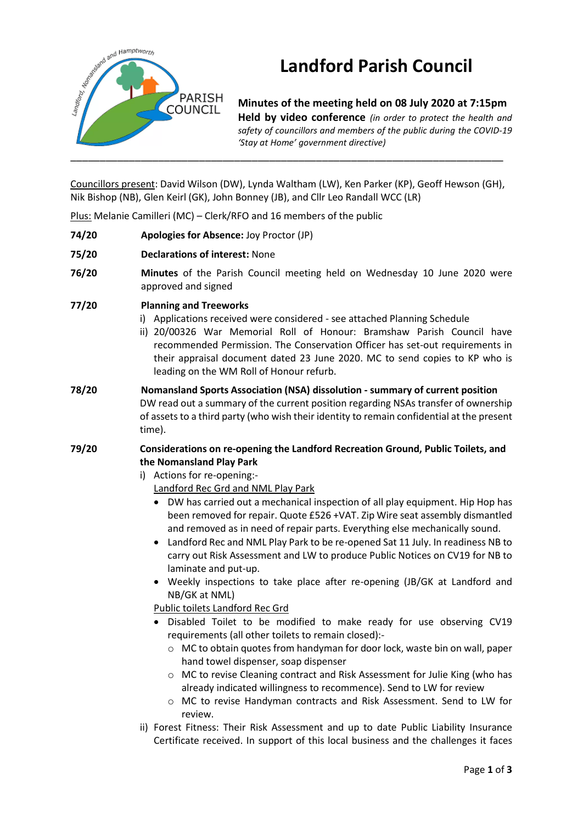

# **Landford Parish Council**

**Minutes of the meeting held on 08 July 2020 at 7:15pm Held by video conference** *(in order to protect the health and safety of councillors and members of the public during the COVID-19 'Stay at Home' government directive)* 

Councillors present: David Wilson (DW), Lynda Waltham (LW), Ken Parker (KP), Geoff Hewson (GH), Nik Bishop (NB), Glen Keirl (GK), John Bonney (JB), and Cllr Leo Randall WCC (LR)

Plus: Melanie Camilleri (MC) – Clerk/RFO and 16 members of the public

- **74/20 Apologies for Absence:** Joy Proctor (JP)
- **75/20 Declarations of interest:** None
- **76/20 Minutes** of the Parish Council meeting held on Wednesday 10 June 2020 were approved and signed
- **77/20 Planning and Treeworks**
	- i) Applications received were considered see attached Planning Schedule
	- ii) 20/00326 War Memorial Roll of Honour: Bramshaw Parish Council have recommended Permission. The Conservation Officer has set-out requirements in their appraisal document dated 23 June 2020. MC to send copies to KP who is leading on the WM Roll of Honour refurb.
- **78/20 Nomansland Sports Association (NSA) dissolution - summary of current position** DW read out a summary of the current position regarding NSAs transfer of ownership of assets to a third party (who wish their identity to remain confidential at the present time).
- **79/20 Considerations on re-opening the Landford Recreation Ground, Public Toilets, and the Nomansland Play Park**

### i) Actions for re-opening:-

Landford Rec Grd and NML Play Park

- DW has carried out a mechanical inspection of all play equipment. Hip Hop has been removed for repair. Quote £526 +VAT. Zip Wire seat assembly dismantled and removed as in need of repair parts. Everything else mechanically sound.
- Landford Rec and NML Play Park to be re-opened Sat 11 July. In readiness NB to carry out Risk Assessment and LW to produce Public Notices on CV19 for NB to laminate and put-up.
- Weekly inspections to take place after re-opening (JB/GK at Landford and NB/GK at NML)

Public toilets Landford Rec Grd

- Disabled Toilet to be modified to make ready for use observing CV19 requirements (all other toilets to remain closed):
	- o MC to obtain quotes from handyman for door lock, waste bin on wall, paper hand towel dispenser, soap dispenser
	- o MC to revise Cleaning contract and Risk Assessment for Julie King (who has already indicated willingness to recommence). Send to LW for review
	- o MC to revise Handyman contracts and Risk Assessment. Send to LW for review.
- ii) Forest Fitness: Their Risk Assessment and up to date Public Liability Insurance Certificate received. In support of this local business and the challenges it faces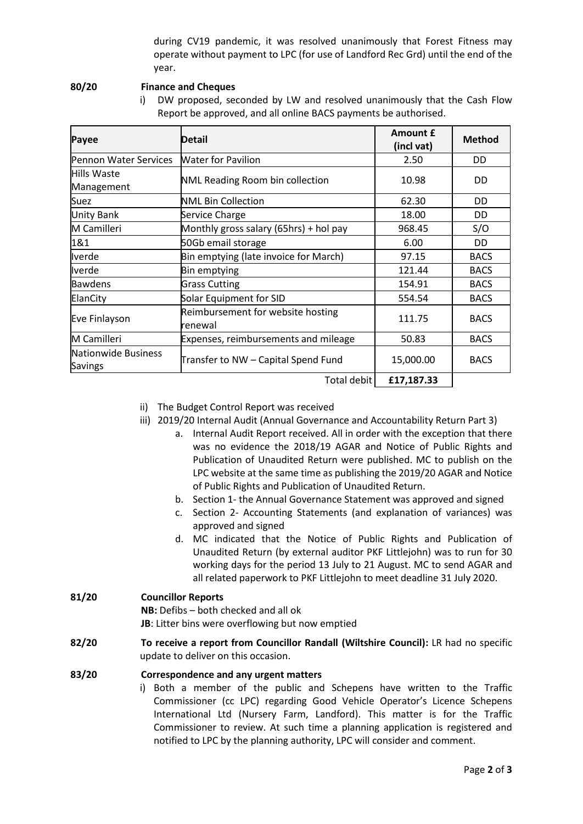during CV19 pandemic, it was resolved unanimously that Forest Fitness may operate without payment to LPC (for use of Landford Rec Grd) until the end of the year.

#### **80/20 Finance and Cheques**

i) DW proposed, seconded by LW and resolved unanimously that the Cash Flow Report be approved, and all online BACS payments be authorised.

| Payee                                 | <b>Detail</b>                                | Amount £<br>(incl vat) | <b>Method</b> |
|---------------------------------------|----------------------------------------------|------------------------|---------------|
| Pennon Water Services                 | <b>Water for Pavilion</b>                    | 2.50                   | DD            |
| Hills Waste<br>Management             | <b>NML Reading Room bin collection</b>       | 10.98                  | DD            |
| Suez                                  | NML Bin Collection                           | 62.30                  | DD            |
| <b>Unity Bank</b>                     | Service Charge                               | 18.00                  | DD            |
| M Camilleri                           | Monthly gross salary (65hrs) + hol pay       | 968.45                 | S/O           |
| 1&1                                   | 50Gb email storage                           | 6.00                   | DD            |
| <b>Iverde</b>                         | Bin emptying (late invoice for March)        | 97.15                  | <b>BACS</b>   |
| Iverde                                | Bin emptying                                 | 121.44                 | <b>BACS</b>   |
| <b>Bawdens</b>                        | <b>Grass Cutting</b>                         | 154.91                 | <b>BACS</b>   |
| ElanCity                              | Solar Equipment for SID                      | 554.54                 | <b>BACS</b>   |
| Eve Finlayson                         | Reimbursement for website hosting<br>renewal | 111.75                 | <b>BACS</b>   |
| M Camilleri                           | Expenses, reimbursements and mileage         | 50.83                  | <b>BACS</b>   |
| Nationwide Business<br><b>Savings</b> | Transfer to NW - Capital Spend Fund          | 15,000.00              | <b>BACS</b>   |
|                                       | Total debit                                  | £17,187.33             |               |

- ii) The Budget Control Report was received
- iii) 2019/20 Internal Audit (Annual Governance and Accountability Return Part 3)
	- a. Internal Audit Report received. All in order with the exception that there was no evidence the 2018/19 AGAR and Notice of Public Rights and Publication of Unaudited Return were published. MC to publish on the LPC website at the same time as publishing the 2019/20 AGAR and Notice of Public Rights and Publication of Unaudited Return.
	- b. Section 1- the Annual Governance Statement was approved and signed
	- c. Section 2- Accounting Statements (and explanation of variances) was approved and signed
	- d. MC indicated that the Notice of Public Rights and Publication of Unaudited Return (by external auditor PKF Littlejohn) was to run for 30 working days for the period 13 July to 21 August. MC to send AGAR and all related paperwork to PKF Littlejohn to meet deadline 31 July 2020.

## **81/20 Councillor Reports**

**NB:** Defibs – both checked and all ok

- **JB**: Litter bins were overflowing but now emptied
- **82/20 To receive a report from Councillor Randall (Wiltshire Council):** LR had no specific update to deliver on this occasion.

### **83/20 Correspondence and any urgent matters**

i) Both a member of the public and Schepens have written to the Traffic Commissioner (cc LPC) regarding Good Vehicle Operator's Licence Schepens International Ltd (Nursery Farm, Landford). This matter is for the Traffic Commissioner to review. At such time a planning application is registered and notified to LPC by the planning authority, LPC will consider and comment.